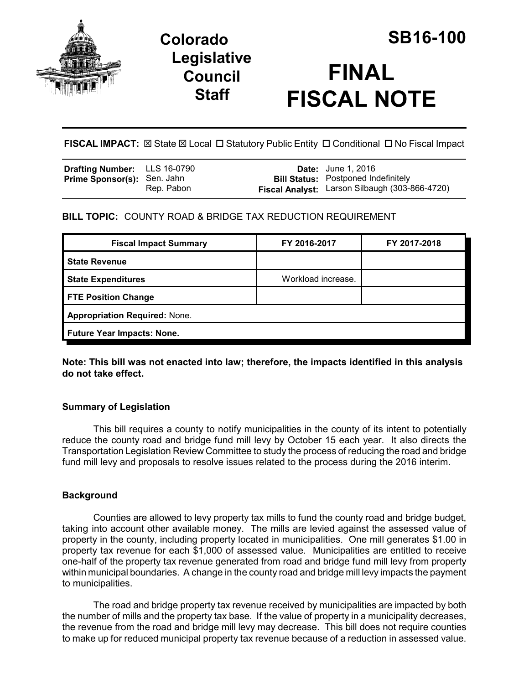

# **Legislative Council Staff**



**FISCAL NOTE**

**FISCAL IMPACT:** ⊠ State ⊠ Local □ Statutory Public Entity □ Conditional □ No Fiscal Impact

| <b>Drafting Number:</b> LLS 16-0790 |            | <b>Date:</b> June 1, 2016                             |
|-------------------------------------|------------|-------------------------------------------------------|
| <b>Prime Sponsor(s):</b> Sen. Jahn  |            | <b>Bill Status: Postponed Indefinitely</b>            |
|                                     | Rep. Pabon | <b>Fiscal Analyst:</b> Larson Silbaugh (303-866-4720) |

# **BILL TOPIC:** COUNTY ROAD & BRIDGE TAX REDUCTION REQUIREMENT

| <b>Fiscal Impact Summary</b>         | FY 2016-2017       | FY 2017-2018 |  |  |
|--------------------------------------|--------------------|--------------|--|--|
| <b>State Revenue</b>                 |                    |              |  |  |
| <b>State Expenditures</b>            | Workload increase. |              |  |  |
| <b>FTE Position Change</b>           |                    |              |  |  |
| <b>Appropriation Required: None.</b> |                    |              |  |  |
| <b>Future Year Impacts: None.</b>    |                    |              |  |  |

**Note: This bill was not enacted into law; therefore, the impacts identified in this analysis do not take effect.**

# **Summary of Legislation**

This bill requires a county to notify municipalities in the county of its intent to potentially reduce the county road and bridge fund mill levy by October 15 each year. It also directs the Transportation Legislation Review Committee to study the process of reducing the road and bridge fund mill levy and proposals to resolve issues related to the process during the 2016 interim.

# **Background**

Counties are allowed to levy property tax mills to fund the county road and bridge budget, taking into account other available money. The mills are levied against the assessed value of property in the county, including property located in municipalities. One mill generates \$1.00 in property tax revenue for each \$1,000 of assessed value. Municipalities are entitled to receive one-half of the property tax revenue generated from road and bridge fund mill levy from property within municipal boundaries. A change in the county road and bridge mill levy impacts the payment to municipalities.

The road and bridge property tax revenue received by municipalities are impacted by both the number of mills and the property tax base. If the value of property in a municipality decreases, the revenue from the road and bridge mill levy may decrease. This bill does not require counties to make up for reduced municipal property tax revenue because of a reduction in assessed value.